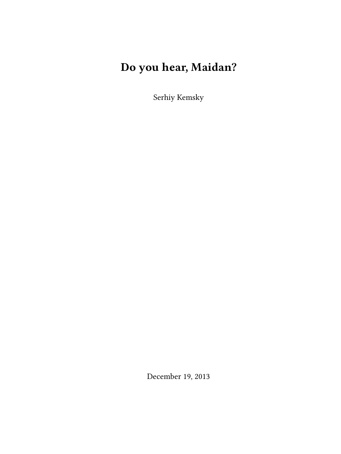# **Do you hear, Maidan?**

Serhiy Kemsky

December 19, 2013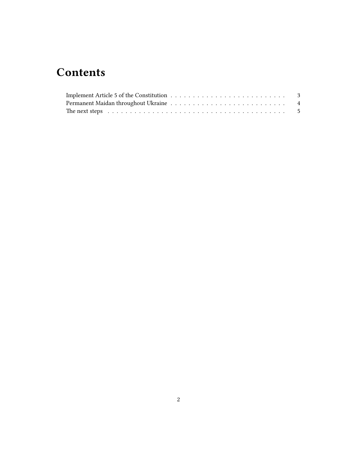## **Contents**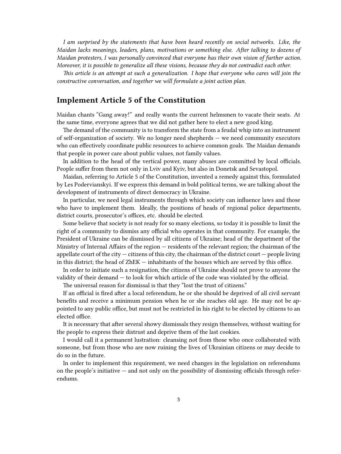*I am surprised by the statements that have been heard recently on social networks. Like, the Maidan lacks meanings, leaders, plans, motivations or something else. After talking to dozens of Maidan protesters, I was personally convinced that everyone has their own vision of further action. Moreover, it is possible to generalize all these visions, because they do not contradict each other.*

*This article is an attempt at such a generalization. I hope that everyone who cares will join the constructive conversation, and together we will formulate a joint action plan.*

## <span id="page-2-0"></span>**Implement Article 5 of the Constitution**

Maidan chants "Gang away!" and really wants the current helmsmen to vacate their seats. At the same time, everyone agrees that we did not gather here to elect a new good king.

The demand of the community is to transform the state from a feudal whip into an instrument of self-organization of society. We no longer need shepherds — we need community executors who can effectively coordinate public resources to achieve common goals. The Maidan demands that people in power care about public values, not family values.

In addition to the head of the vertical power, many abuses are committed by local officials. People suffer from them not only in Lviv and Kyiv, but also in Donetsk and Sevastopol.

Maidan, referring to Article 5 of the Constitution, invented a remedy against this, formulated by Les Podervianskyi. If we express this demand in bold political terms, we are talking about the development of instruments of direct democracy in Ukraine.

In particular, we need legal instruments through which society can influence laws and those who have to implement them. Ideally, the positions of heads of regional police departments, district courts, prosecutor's offices, etc. should be elected.

Some believe that society is not ready for so many elections, so today it is possible to limit the right of a community to dismiss any official who operates in that community. For example, the President of Ukraine can be dismissed by all citizens of Ukraine; head of the department of the Ministry of Internal Affairs of the region — residents of the relevant region; the chairman of the appellate court of the city  $-$  citizens of this city, the chairman of the district court  $-$  people living in this district; the head of ZhEK — inhabitants of the houses which are served by this office.

In order to initiate such a resignation, the citizens of Ukraine should not prove to anyone the validity of their demand — to look for which article of the code was violated by the official.

The universal reason for dismissal is that they "lost the trust of citizens."

If an official is fired after a local referendum, he or she should be deprived of all civil servant benefits and receive a minimum pension when he or she reaches old age. He may not be appointed to any public office, but must not be restricted in his right to be elected by citizens to an elected office.

It is necessary that after several showy dismissals they resign themselves, without waiting for the people to express their distrust and deprive them of the last cookies.

I would call it a permanent lustration: cleansing not from those who once collaborated with someone, but from those who are now ruining the lives of Ukrainian citizens or may decide to do so in the future.

In order to implement this requirement, we need changes in the legislation on referendums on the people's initiative  $-$  and not only on the possibility of dismissing officials through referendums.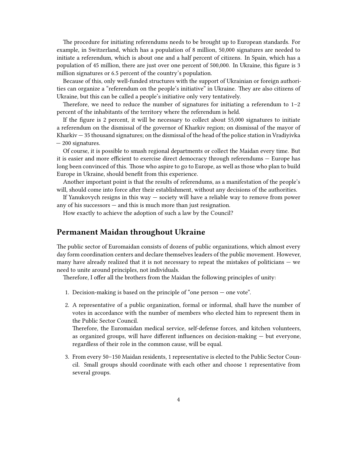The procedure for initiating referendums needs to be brought up to European standards. For example, in Switzerland, which has a population of 8 million, 50,000 signatures are needed to initiate a referendum, which is about one and a half percent of citizens. In Spain, which has a population of 45 million, there are just over one percent of 500,000. In Ukraine, this figure is 3 million signatures or 6.5 percent of the country's population.

Because of this, only well-funded structures with the support of Ukrainian or foreign authorities can organize a "referendum on the people's initiative" in Ukraine. They are also citizens of Ukraine, but this can be called a people's initiative only very tentatively.

Therefore, we need to reduce the number of signatures for initiating a referendum to  $1-2$ percent of the inhabitants of the territory where the referendum is held.

If the figure is 2 percent, it will be necessary to collect about 55,000 signatures to initiate a referendum on the dismissal of the governor of Kharkiv region; on dismissal of the mayor of Kharkiv — 35 thousand signatures; on the dismissal of the head of the police station in Vradiyivka — 200 signatures.

Of course, it is possible to smash regional departments or collect the Maidan every time. But it is easier and more efficient to exercise direct democracy through referendums — Europe has long been convinced of this. Those who aspire to go to Europe, as well as those who plan to build Europe in Ukraine, should benefit from this experience.

Another important point is that the results of referendums, as a manifestation of the people's will, should come into force after their establishment, without any decisions of the authorities.

If Yanukovych resigns in this way — society will have a reliable way to remove from power any of his successors — and this is much more than just resignation.

How exactly to achieve the adoption of such a law by the Council?

#### <span id="page-3-0"></span>**Permanent Maidan throughout Ukraine**

The public sector of Euromaidan consists of dozens of public organizations, which almost every day form coordination centers and declare themselves leaders of the public movement. However, many have already realized that it is not necessary to repeat the mistakes of politicians — we need to unite around principles, not individuals.

Therefore, I offer all the brothers from the Maidan the following principles of unity:

- 1. Decision-making is based on the principle of "one person one vote".
- 2. A representative of a public organization, formal or informal, shall have the number of votes in accordance with the number of members who elected him to represent them in the Public Sector Council.

Therefore, the Euromaidan medical service, self-defense forces, and kitchen volunteers, as organized groups, will have different influences on decision-making — but everyone, regardless of their role in the common cause, will be equal.

3. From every 50–150 Maidan residents, 1 representative is elected to the Public Sector Council. Small groups should coordinate with each other and choose 1 representative from several groups.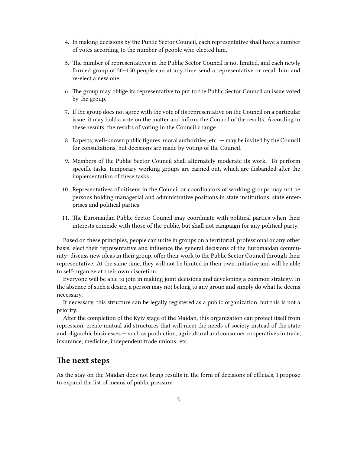- 4. In making decisions by the Public Sector Council, each representative shall have a number of votes according to the number of people who elected him.
- 5. The number of representatives in the Public Sector Council is not limited, and each newly formed group of 50–150 people can at any time send a representative or recall him and re-elect a new one.
- 6. The group may oblige its representative to put to the Public Sector Council an issue voted by the group.
- 7. If the group does not agree with the vote of its representative on the Council on a particular issue, it may hold a vote on the matter and inform the Council of the results. According to these results, the results of voting in the Council change.
- 8. Experts, well-known public figures, moral authorities, etc. may be invited by the Council for consultations, but decisions are made by voting of the Council.
- 9. Members of the Public Sector Council shall alternately moderate its work. To perform specific tasks, temporary working groups are carried out, which are disbanded after the implementation of these tasks.
- 10. Representatives of citizens in the Council or coordinators of working groups may not be persons holding managerial and administrative positions in state institutions, state enterprises and political parties.
- 11. The Euromaidan Public Sector Council may coordinate with political parties when their interests coincide with those of the public, but shall not campaign for any political party.

Based on these principles, people can unite in groups on a territorial, professional or any other basis, elect their representative and influence the general decisions of the Euromaidan community: discuss new ideas in their group, offer their work to the Public Sector Council through their representative. At the same time, they will not be limited in their own initiative and will be able to self-organize at their own discretion.

Everyone will be able to join in making joint decisions and developing a common strategy. In the absence of such a desire, a person may not belong to any group and simply do what he deems necessary.

If necessary, this structure can be legally registered as a public organization, but this is not a priority.

After the completion of the Kyiv stage of the Maidan, this organization can protect itself from repression, create mutual aid structures that will meet the needs of society instead of the state and oligarchic businesses — such as production, agricultural and consumer cooperatives in trade, insurance, medicine, independent trade unions. etc.

### <span id="page-4-0"></span>**The next steps**

As the stay on the Maidan does not bring results in the form of decisions of officials, I propose to expand the list of means of public pressure.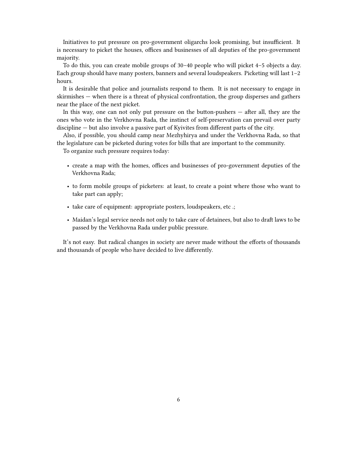Initiatives to put pressure on pro-government oligarchs look promising, but insufficient. It is necessary to picket the houses, offices and businesses of all deputies of the pro-government majority.

To do this, you can create mobile groups of 30–40 people who will picket 4–5 objects a day. Each group should have many posters, banners and several loudspeakers. Picketing will last 1–2 hours.

It is desirable that police and journalists respond to them. It is not necessary to engage in skirmishes — when there is a threat of physical confrontation, the group disperses and gathers near the place of the next picket.

In this way, one can not only put pressure on the button-pushers — after all, they are the ones who vote in the Verkhovna Rada, the instinct of self-preservation can prevail over party discipline — but also involve a passive part of Kyivites from different parts of the city.

Also, if possible, you should camp near Mezhyhirya and under the Verkhovna Rada, so that the legislature can be picketed during votes for bills that are important to the community.

To organize such pressure requires today:

- create a map with the homes, offices and businesses of pro-government deputies of the Verkhovna Rada;
- to form mobile groups of picketers: at least, to create a point where those who want to take part can apply;
- take care of equipment: appropriate posters, loudspeakers, etc .;
- Maidan's legal service needs not only to take care of detainees, but also to draft laws to be passed by the Verkhovna Rada under public pressure.

It's not easy. But radical changes in society are never made without the efforts of thousands and thousands of people who have decided to live differently.